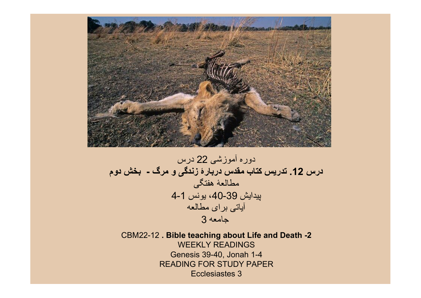

دوره آموزشی 22 درس درس .12 تدريس کتاب مقدس دربارۀ زندگی و مرگ - بخش دوم مطالعۀ هفتگی پيدايش ،40-39 يونس 4-1 آياتی برای مطالعه جامعه 3

CBM22-12 . Bible teaching about Life and Death -2 WEEKLY READINGS Genesis 39-40, Jonah 1-4 READING FOR STUDY PAPER Ecclesiastes 3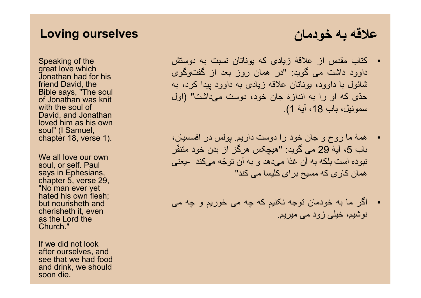### Loving ourselves

Speaking of the great love which Jonathan had for his friend David, the Bible says, "The soul of Jonathan was knit with the soul of David, and Jonathan loved him as his own soul" (I Samuel, chapter 18, verse 1).

We all love our own soul, or self. Paul says in Ephesians, chapter 5, verse 29, "No man ever yet hated his own flesh; but nourisheth and cherisheth it, even as the Lord the Church."

If we did not look after ourselves, and see that we had food and drink, we should soon die.

## علاقه به خودمان

- کتاب مقدس از علاقۀ زيادی که يوناتان نسبت به دوستش داوود داشت می گويد: "در همان روز بعد از گفت وگوی شائول با داوود، يوناتان علاقه زيادی به داوود پيدا کرد، به حّدی که او را به اندازۀ جان خود، دوست میداشت" (اول سموئيل، باب 18، آيۀ 1).
- همۀ ما روح و جان خود را دوست داريم. پولس در افسسيان، باب 5، آيۀ 29 مي گويد: "هيچکس هر گز از بدن خود متنفّر نبوده است بلكه به آن غذا میدهد و به آن تو ّجه میکند -يعنی همان كاری كه مسيح برای كليسا می کند"
- اگر ما به خودمان توجه نکنيم که چه می خوريم و چه می نوشيم، خيلی زود می ميريم.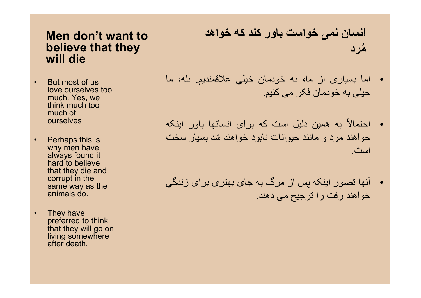### Men don't want to believe that they will die

- But most of us love ourselves too much. Yes, we think much too much of ourselves.
- **Perhaps this is** why men have always found it hard to believe that they die and corrupt in the same way as the animals do.
- They have preferred to think that they will go on living somewhere after death.

انسان نمی خواست باور کند که خواهد مرد ُ

- اما بسياری از ما، به خودمان خيلی علاقمنديم. بله، ما خيلی به خودمان فکر می کنيم.
- به همين دليل است که برای انسانها باور اينکه احتمالاً خواهند مرد و مانند حيوانات نابود خواهند شد بسيار سخت است.
- آنها تصور اينکه پس از مرگ به جای بهتری برای زندگی خواهند رفت را ترجيح می دهند.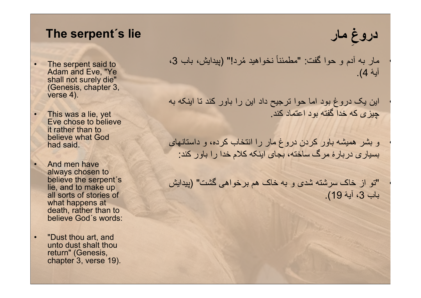### The serpent´s lie

- The serpent said to Adam and Eve, "Ye shall not surely die" (Genesis, chapter 3, verse 4).
- This was a lie, yet Eve chose to believe it rather than to believe what God had said.
- And men have always chosen to believe the serpent´s lie, and to make up all sorts of stories of what happens at death, rather than to believe God´s words:
- "Dust thou art, and unto dust shalt thou return" (Genesis, chapter 3, verse 19).

. مار به آدم و حوا گفت: "مطمئناً نخواهيد مُرد!" (پيدايش، باب 3، آيۀ 4).

• اين يک دروغ بود اما حوا ترجيح داد اين را باور کند تا اينکه به چيزی که خدا گفته بود اعتماد کند.

• و بشر هميشه باور کردن دروغ مار را انتخاب کرده، و داستانهای بسياری دربارۀ مرگ ساخته، بجای اينکه کلام خدا را باور کند:

• "تو از خاک سرشته شدی و به خاک هم برخواهی گشت" (پيدايش باب 3، آيۀ 19).

دروغِ مار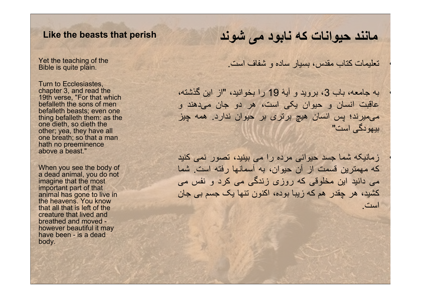#### Like the beasts that perish

Yet the teaching of the Bible is quite plain.

Turn to Ecclesiastes, chapter 3, and read the 19th verse, "For that which befalleth the sons of men befalleth beasts; even one thing befalleth them: as the one dieth, so dieth the other; yea, they have all one breath; so that a man hath no preeminence above a beast."

When you see the body of a dead animal, you do not imagine that the most important part of that animal has gone to live in the heavens. You know that all that is left of the creature that lived and breathed and moved however beautiful it may have been - is a dead body.

## مانند حيوانات که نابود می شوند

• تعليمات کتاب مقدس، بسيار ساده و شفاف است.

• به جامعه، باب ،3 برويد و آيۀ 19 را بخوانيد، "از اين گذشته، عاقبت انسان و حيوان يکی است، هر دو جان می دهند و می ميرند؛ پس انسان هيچ برتری بر حيوان ندارد. همه چيز بيهودگی است"

• زمانيکه شما جسد حيوانی مرده را می بينيد، تصور نمی کنيد که مهمترين قسمت از آن حيوان، به آسمانها رفته است. شما می دانيد اين مخلوقی که روزی زندگی می کرد و نفس می کشيد، هر چقدر هم که زيبا بوده، اکنون تنها يک جسم بی جان است.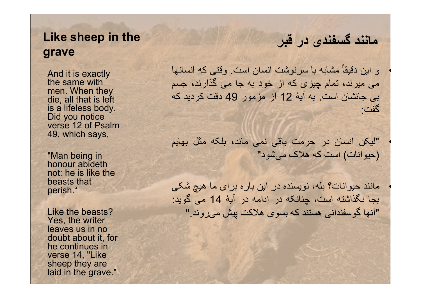### Like sheep in the grave

And it is exactly the same with men. When they die, all that is left is a lifeless body. Did you notice verse 12 of Psalm 49, which says,

"Man being in honour abideth not: he is like the beasts that perish."

Like the beasts? Yes, the writer leaves us in no doubt about it, for he continues in verse 14, "Like sheep they are laid in the grave."

# مانند گسفندی در قبر

• و اين دقيقاً مشابه با سرنوشت انسان است. وقتی که انسانها می ميرند، تمام چيزی که از خود به جا می گذارند، جسم بی جانشان است. به آيۀ 12 از مزمور 49 دقت کرديد که گفت:

• "ليکن انسان در حرمت باقی نمی ماند، بلکه مثل بهايم (حيوانات) است که هلاک می شود"

• مانند حيوانات؟ بله، نويسنده در اين باره برای ما هيچ شکی بجا نگذاشته است، چنانکه در ادامه در آيۀ 14 می گويد: "آنها گوسفندانی هستند که بسوی هلاکت پيش می روند."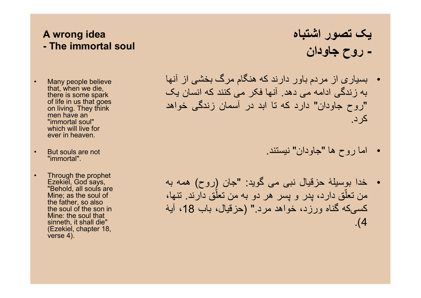### A wrong idea - The immortal soul

- Many people believe that, when we die, there is some spark of life in us that goes on living. They think men have an "immortal soul" which will live for ever in heaven.
- But souls are not "immortal".
- Through the prophet Ezekiel, God says, "Behold, all souls are Mine; as the soul of the father, so also the soul of the son in Mine: the soul that sinneth, it shall die" (Ezekiel, chapter 18, verse 4).
- يک تصور اشتباه - روح جاودان
- بسياری از مردم باور دارند که هنگام مرگ بخشی از آنها به زندگی ادامه می دهد. آنها فکر می کنند که انسان يک "روح جاودان" دارد که تا ابد در آسمان زندگی خواهد کرد.
	- اما روح ها "جاودان" نيستند.
- خدا بوسيلۀ حزقيال نبی می گويد: "جان (روح) همه به من تعلّق دارد، پدر و پسر هر دو به من تعلّق دارند. تنها، کسیکه گناه ورزد، خواهد مرد " (حزقيال، باب 18، آيۀ .(4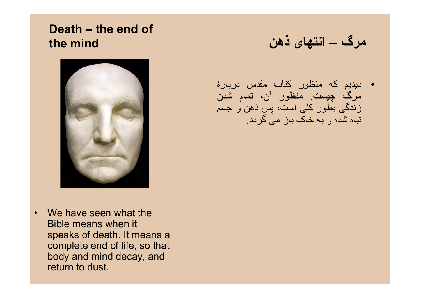## Death – the end of the mind



• We have seen what the Bible means when it speaks of death. It means a complete end of life, so that body and mind decay, and return to dust.

مرگ – انتهای ذهن

• ديديم که منظور کتاب مقدس دربارۀ مرگ چيست. منظور آن، تمام شدن زندگی بطور کلی است، پس ذهن و جسم تباه شده و به خاک باز می گردد.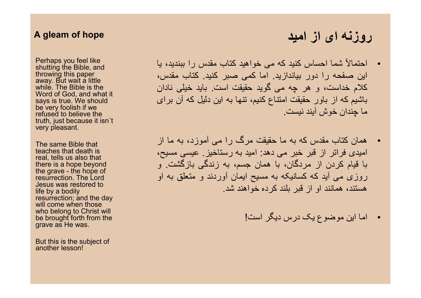#### A gleam of hope

Perhaps you feel like shutting the Bible, and throwing this paper away. But wait a little while. The Bible is the Word of God, and what it says is true. We should be very foolish if we refused to believe the truth, just because it isn´t very pleasant.

The same Bible that teaches that death is real, tells us also that there is a hope beyond the grave - the hope of resurrection. The Lord Jesus was restored to life by a bodily resurrection; and the day will come when those who belong to Christ will be brought forth from the grave as He was.

But this is the subject of another lesson!

### • احتمالاً شما احساس کنيد که می خواهيد کتاب مقدس را ببنديد، يا اين صفحه را دور بياندازيد. اما کمی صبر کنيد. کتاب مقدس، کلام خداست، و هر چه می گويد حقيقت است. بايد خيلی نادان باشيم که از باور حقيقت امتناع کنيم، تنها به اين دليل که آن برای ما چندان خوش آيند نيست.

- همان کتاب مقدس که به ما حقيقت مرگ را می آموزد، به ما از اميدی فراتر از قبر خبر می دهد: اميد به رستاخيز. عيسی مسيح، با قيام کردن از مردگان، با همان جسم، به زندگی بازگشت. و روزی می آيد که کسانيکه به مسيح ايمان آوردند و متعلق به او هستند، همانند او از قبر بلند کرده خواهند شد.
	- اما اين موضوع يک درس ديگر است!

## روزنه ای از اميد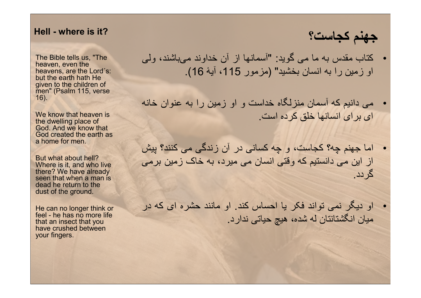#### Hell - where is it?

The Bible tells us, "The heaven, even the heavens, are the Lord´s: but the earth hath He given to the children of men" (Psalm 115, verse 16).

We know that heaven is the dwelling place of God. And we know that God created the earth as a home for men.

But what about hell? Where is it, and who live there? We have already seen that when a man is dead he return to the dust of the ground.

He can no longer think or feel - he has no more life that an insect that you have crushed between your fingers.

جهنم کجاست؟

- کتاب مقدس به ما می گويد: "آسمانها از آن خداوند می باشند، ولی او زمين را به انسان بخشيد" (مزمور 115، آيۀ 16).
- می دانيم که آسمان منزلگاه خداست و او زمين را به عنوان خانه ای برای انسانها خلق کرده است.
- اما جهنم چه؟ کجاست، و چه کسانی در آن زندگی می کنند؟ پيش از اين می دانستيم که وقتی انسان می ميرد، به خاک زمين برمی گردد.
- او ديگر نمی تواند فکر يا احساس کند. او مانند حشره ای که در ميان انگشتانتان له شده، هيچ حياتی ندارد.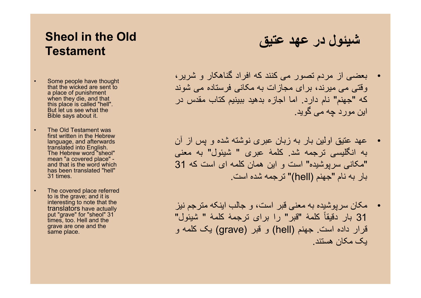## Sheol in the Old **Testament**

- Some people have thought that the wicked are sent to a place of punishment when they die, and that this place is called "hell". But let us see what the Bible says about it.
- The Old Testament was first written in the Hebrew language, and afterwards translated into English. The Hebrew word "sheol" mean "a covered place" and that is the word which has been translated "hell" 31 times.
- The covered place referred to is the grave; and it is interesting to note that the translators have actually put "grave" for "sheol" 31 times, too. Hell and the grave are one and the same place.

شيئول در عهد عتيق

- بعضی از مردم تصور می کنند که افراد گناهکار و شرير، وقتی می ميرند، برای مجازات به مکانی فرستاده می شوند که "جهنم" نام دارد. اما اجازه بدهيد ببينيم کتاب مقدس در اين مورد چه می گويد.
- عهد عتيق اولين بار به زبان عبری نوشته شده و پس از آن به انگليسی ترجمه شد. کلمۀ عبری " شيئول" به معنی "مکانی سرپوشيده" است و اين همان کلمه ای است که 31 بار به نام "جهنم (hell "(ترجمه شده است.
- مکان سرپوشيده به معنی قبر است، و جالب اينکه مترجم نيز 31 بار دقيقاً کلمۀ "قبر" را برای ترجمۀ کلمۀ " شيئول" قرار داده است. جهنم (hell) و قبر (grave) يک کلمه و يک مکان هستند.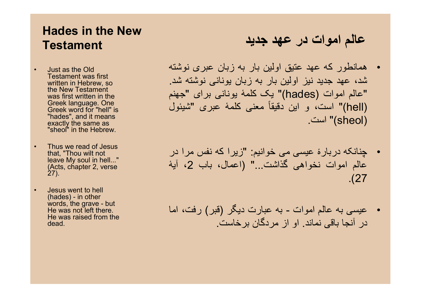## Hades in the New **Testament**

- Just as the Old Testament was first written in Hebrew, so the New Testament was first written in the Greek language. One Greek word for "hell" is "hades", and it means exactly the same as "sheol" in the Hebrew.
- Thus we read of Jesus that, "Thou wilt not leave My soul in hell..." (Acts, chapter 2, verse 27).
- Jesus went to hell (hades) - in other words, the grave - but He was not left there. He was raised from the dead.

# عالم اموات در عهد جديد

- همانطور که عهد عتيق اولين بار به زبان عبری نوشته شد، عهد جديد نيز اولين بار به زبان يونانی نوشته شد. "عالم اموات (hades "(يک کلمۀ يونانی برای "جهنم (hell "(است، و اين دقيقاً معنی کلمۀ عبری "شيئول (sheol "(است.
- چنانکه دربارۀ عيسی می خوانيم: "زيرا که نفس مرا در عالم اموات نخواهی گذاشت..." (اعمال، باب 2، آيۀ .(27
- عيسی به عالم اموات به عبارت ديگر (قبر) رفت، اما در آنجا باقی نماند. او از مردگان برخاست.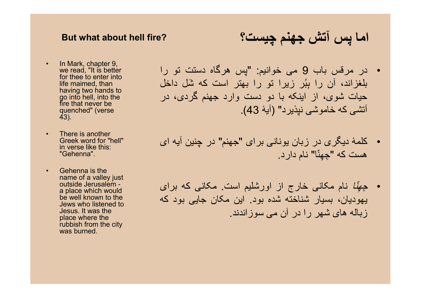#### But what about hell fire?

- In Mark, chapter 9, we read, "It is better for thee to enter into life maimed, than having two hands to go into hell, into the fire that never be quenched" (verse 43).
- There is another Greek word for "hell" in verse like this: "Gehenna".
- Gehenna is the name of a valley just outside Jerusalem a place which would be well known to the Jews who listened to Jesus. It was the place where the rubbish from the city was burned.

اما پس آتش جهنم چيست؟

- در مرقس باب 9 می خوانيم: "پس هرگاه دستت تو را بلغزاند، آن را بِبُر زیرا تو را بهتر است که شَل داخل حيات شوی، از اينکه با دو دست وارد جهنم گردی، در آتشی که خاموشی نپذيرد" (آيۀ 43).
- کلمۀ ديگری در زبان يونانی برای "جهنم" در چنين آيه ای هست که " ِج ِهنّا" نام دارد.
- ِج ِهّنا نام مکانی خارج از اورشليم است. مکانی که برای يهوديان، بسيار شناخته شده بود. اين مکان جايی بود که زباله های شهر را در آن می سوزاندند.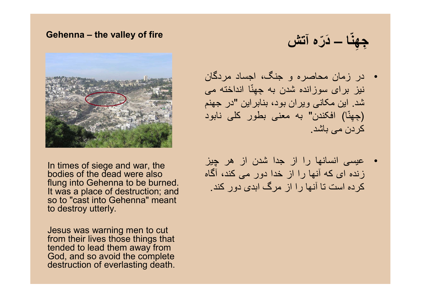#### Gehenna – the valley of fire

جِهِنّا ـــ دَرّه آتش



• عيسی انسانها را از جدا شدن از هر چيز زنده ای که آنها را از خدا دور می کند، آگاه کرده است تا آنها را از مرگ ابدی دور کند.

In times of siege and war, the bodies of the dead were also flung into Gehenna to be burned. It was a place of destruction; and so to "cast into Gehenna" meant to destroy utterly.

Jesus was warning men to cut from their lives those things that tended to lead them away from God, and so avoid the complete destruction of everlasting death.